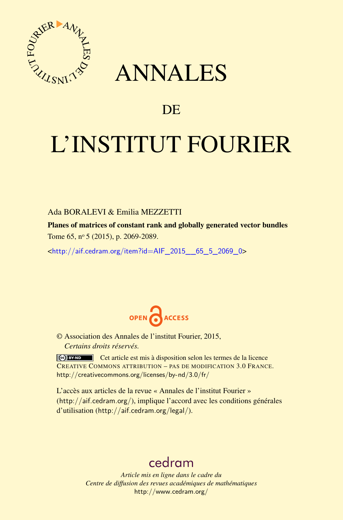

## ANNALES

### **DE**

# L'INSTITUT FOURIER

#### Ada BORALEVI & Emilia MEZZETTI

Planes of matrices of constant rank and globally generated vector bundles Tome 65, nº 5 (2015), p. 2069-2089.

 $\kappa$ http://aif.cedram.org/item?id=AIF 2015 65\_5\_2069\_0>



© Association des Annales de l'institut Fourier, 2015, *Certains droits réservés.*

Cet article est mis à disposition selon les termes de la licence CREATIVE COMMONS ATTRIBUTION – PAS DE MODIFICATION 3.0 FRANCE. <http://creativecommons.org/licenses/by-nd/3.0/fr/>

L'accès aux articles de la revue « Annales de l'institut Fourier » (<http://aif.cedram.org/>), implique l'accord avec les conditions générales d'utilisation (<http://aif.cedram.org/legal/>).

## [cedram](http://www.cedram.org/)

*Article mis en ligne dans le cadre du Centre de diffusion des revues académiques de mathématiques* <http://www.cedram.org/>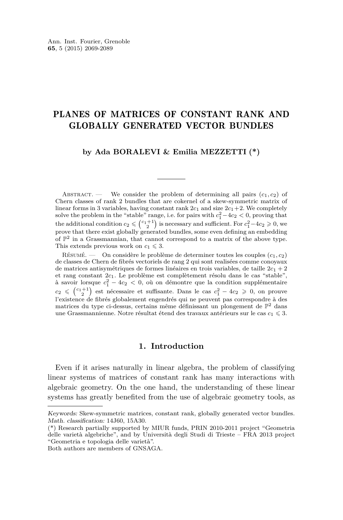#### PLANES OF MATRICES OF CONSTANT RANK AND GLOBALLY GENERATED VECTOR BUNDLES

#### **by Ada BORALEVI & Emilia MEZZETTI (\*)**

ABSTRACT. — We consider the problem of determining all pairs  $(c_1, c_2)$  of Chern classes of rank 2 bundles that are cokernel of a skew-symmetric matrix of linear forms in 3 variables, having constant rank  $2c_1$  and size  $2c_1+2$ . We completely solve the problem in the "stable" range, i.e. for pairs with  $c_1^2 - 4c_2 < 0$ , proving that the additional condition  $c_2 \leqslant {\binom{c_1+1}{2}}$  is necessary and sufficient. For  $c_1^2-4c_2 \geqslant 0$ , we prove that there exist globally generated bundles, some even defining an embedding of  $\mathbb{P}^2$  in a Grassmannian, that cannot correspond to a matrix of the above type. This extends previous work on  $c_1 \leq 3$ .

Résumé. — On considère le problème de determiner toutes les couples (*c*1*, c*2) de classes de Chern de fibrés vectoriels de rang 2 qui sont realisées comme conoyaux de matrices antisymétriques de formes linéaires en trois variables, de taille  $2c_1 + 2$ et rang constant 2*c*1. Le problème est complètement résolu dans le cas "stable", à savoir lorsque  $c_1^2 - 4c_2 < 0$ , où on démontre que la condition supplémentaire  $c_2$  ≤  $\binom{c_1+1}{2}$  est nécessaire et suffisante. Dans le cas  $c_1^2 - 4c_2 ≥ 0$ , on prouve l'existence de fibrés globalement engendrés qui ne peuvent pas correspondre à des matrices du type ci-dessus, certains même définissant un plongement de P <sup>2</sup> dans une Grassmannienne. Notre résultat étend des travaux antérieurs sur le cas $c_1 \leqslant 3.$ 

#### **1. Introduction**

Even if it arises naturally in linear algebra, the problem of classifying linear systems of matrices of constant rank has many interactions with algebraic geometry. On the one hand, the understanding of these linear systems has greatly benefited from the use of algebraic geometry tools, as

Both authors are members of GNSAGA.

Keywords: Skew-symmetric matrices, constant rank, globally generated vector bundles. Math. classification: 14J60, 15A30.

<sup>(\*)</sup> Research partially supported by MIUR funds, PRIN 2010-2011 project "Geometria delle varietà algebriche", and by Università degli Studi di Trieste – FRA 2013 project "Geometria e topologia delle varietà".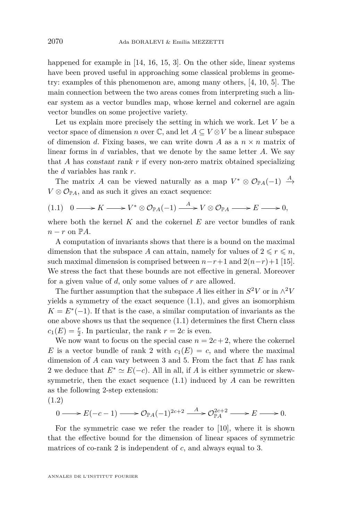<span id="page-2-0"></span>happened for example in [\[14,](#page-21-0) [16,](#page-21-0) [15,](#page-21-0) [3\]](#page-20-0). On the other side, linear systems have been proved useful in approaching some classical problems in geometry: examples of this phenomenon are, among many others, [\[4,](#page-20-0) [10,](#page-21-0) [5\]](#page-20-0). The main connection between the two areas comes from interpreting such a linear system as a vector bundles map, whose kernel and cokernel are again vector bundles on some projective variety.

Let us explain more precisely the setting in which we work. Let *V* be a vector space of dimension *n* over  $\mathbb{C}$ , and let  $A \subseteq V \otimes V$  be a linear subspace of dimension *d*. Fixing bases, we can write down *A* as a  $n \times n$  matrix of linear forms in *d* variables, that we denote by the same letter *A*. We say that *A* has constant rank *r* if every non-zero matrix obtained specializing the *d* variables has rank *r*.

The matrix *A* can be viewed naturally as a map  $V^* \otimes \mathcal{O}_{\mathbb{P}A}(-1) \stackrel{A}{\rightarrow}$  $V \otimes \mathcal{O}_{\mathbb{P}A}$ , and as such it gives an exact sequence:

$$
(1.1) \quad 0 \longrightarrow K \longrightarrow V^* \otimes \mathcal{O}_{\mathbb{P}A}(-1) \stackrel{A}{\longrightarrow} V \otimes \mathcal{O}_{\mathbb{P}A} \longrightarrow E \longrightarrow 0,
$$

where both the kernel *K* and the cokernel *E* are vector bundles of rank  $n - r$  on  $\mathbb{P}A$ .

A computation of invariants shows that there is a bound on the maximal dimension that the subspace *A* can attain, namely for values of  $2 \le r \le n$ , such maximal dimension is comprised between  $n-r+1$  and  $2(n-r)+1$  [\[15\]](#page-21-0). We stress the fact that these bounds are not effective in general. Moreover for a given value of *d*, only some values of *r* are allowed.

The further assumption that the subspace *A* lies either in  $S^2V$  or in  $\wedge^2V$ yields a symmetry of the exact sequence  $(1.1)$ , and gives an isomorphism  $K = E^*(-1)$ . If that is the case, a similar computation of invariants as the one above shows us that the sequence (1.1) determines the first Chern class  $c_1(E) = \frac{r}{2}$ . In particular, the rank  $r = 2c$  is even.

We now want to focus on the special case  $n = 2c + 2$ , where the cokernel *E* is a vector bundle of rank 2 with  $c_1(E) = c$ , and where the maximal dimension of *A* can vary between 3 and 5. From the fact that *E* has rank 2 we deduce that  $E^* \simeq E(-c)$ . All in all, if *A* is either symmetric or skewsymmetric, then the exact sequence  $(1.1)$  induced by *A* can be rewritten as the following 2-step extension:

(1.2)

$$
0 \longrightarrow E(-c-1) \longrightarrow \mathcal{O}_{\mathbb{P}A}(-1)^{2c+2} \xrightarrow{A} \mathcal{O}_{\mathbb{P}A}^{2c+2} \longrightarrow E \longrightarrow 0.
$$

For the symmetric case we refer the reader to [\[10\]](#page-21-0), where it is shown that the effective bound for the dimension of linear spaces of symmetric matrices of co-rank 2 is independent of *c*, and always equal to 3.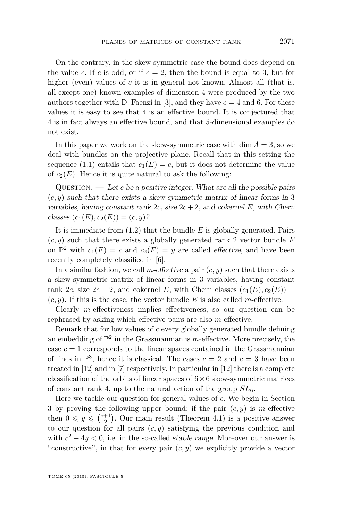On the contrary, in the skew-symmetric case the bound does depend on the value *c*. If *c* is odd, or if  $c = 2$ , then the bound is equal to 3, but for higher (even) values of *c* it is in general not known. Almost all (that is, all except one) known examples of dimension 4 were produced by the two authors together with D. Faenzi in [\[3\]](#page-20-0), and they have  $c = 4$  and 6. For these values it is easy to see that 4 is an effective bound. It is conjectured that 4 is in fact always an effective bound, and that 5-dimensional examples do not exist.

In this paper we work on the skew-symmetric case with  $\dim A = 3$ , so we deal with bundles on the projective plane. Recall that in this setting the sequence [\(1.1\)](#page-2-0) entails that  $c_1(E) = c$ , but it does not determine the value of  $c_2(E)$ . Hence it is quite natural to ask the following:

QUESTION.  $\qquad \qquad Let c be a positive integer. What are all the possible pairs$  $(c, y)$  such that there exists a skew-symmetric matrix of linear forms in 3 variables, having constant rank  $2c$ , size  $2c + 2$ , and cokernel *E*, with Chern  $classes (c_1(E), c_2(E)) = (c, y)$ ?

It is immediate from [\(1.2\)](#page-2-0) that the bundle *E* is globally generated. Pairs  $(c, y)$  such that there exists a globally generated rank 2 vector bundle  $F$ on  $\mathbb{P}^2$  with  $c_1(F) = c$  and  $c_2(F) = y$  are called effective, and have been recently completely classified in [\[6\]](#page-21-0).

In a similar fashion, we call *m*-effective a pair  $(c, y)$  such that there exists a skew-symmetric matrix of linear forms in 3 variables, having constant rank 2*c*, size  $2c + 2$ , and cokernel *E*, with Chern classes  $(c_1(E), c_2(E))$  =  $(c, y)$ . If this is the case, the vector bundle E is also called *m*-effective.

Clearly *m*-effectiveness implies effectiveness, so our question can be rephrased by asking which effective pairs are also *m*-effective.

Remark that for low values of *c* every globally generated bundle defining an embedding of  $\mathbb{P}^2$  in the Grassmannian is *m*-effective. More precisely, the case  $c = 1$  corresponds to the linear spaces contained in the Grassmannian of lines in  $\mathbb{P}^3$ , hence it is classical. The cases  $c = 2$  and  $c = 3$  have been treated in [\[12\]](#page-21-0) and in [\[7\]](#page-21-0) respectively. In particular in [\[12\]](#page-21-0) there is a complete classification of the orbits of linear spaces of  $6\times 6$  skew-symmetric matrices of constant rank 4, up to the natural action of the group *SL*6.

Here we tackle our question for general values of *c*. We begin in Section [3](#page-8-0) by proving the following upper bound: if the pair (*c, y*) is *m*-effective then  $0 \leq y \leq {c+1 \choose 2}$ . Our main result (Theorem [4.1\)](#page-9-0) is a positive answer to our question for all pairs  $(c, y)$  satisfying the previous condition and with  $c^2 - 4y < 0$ , i.e. in the so-called *stable range*. Moreover our answer is "constructive", in that for every pair  $(c, y)$  we explicitly provide a vector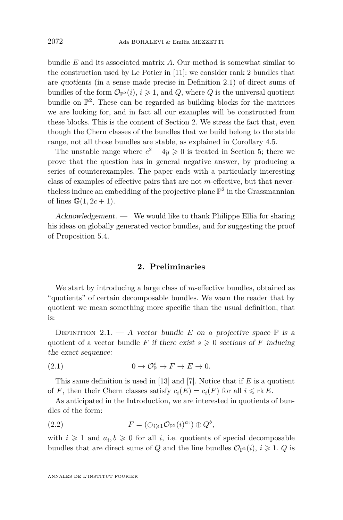<span id="page-4-0"></span>bundle *E* and its associated matrix *A*. Our method is somewhat similar to the construction used by Le Potier in [\[11\]](#page-21-0): we consider rank 2 bundles that are quotients (in a sense made precise in Definition 2.1) of direct sums of bundles of the form  $\mathcal{O}_{\mathbb{P}^2}(i), i \geq 1$ , and *Q*, where *Q* is the universal quotient bundle on  $\mathbb{P}^2$ . These can be regarded as building blocks for the matrices we are looking for, and in fact all our examples will be constructed from these blocks. This is the content of Section 2. We stress the fact that, even though the Chern classes of the bundles that we build belong to the stable range, not all those bundles are stable, as explained in Corollary [4.5.](#page-12-0)

The unstable range where  $c^2 - 4y \geq 0$  is treated in Section [5;](#page-13-0) there we prove that the question has in general negative answer, by producing a series of counterexamples. The paper ends with a particularly interesting class of examples of effective pairs that are not *m*-effective, but that neverthe less induce an embedding of the projective plane  $\mathbb{P}^2$  in the Grassmannian of lines  $\mathbb{G}(1, 2c + 1)$ .

Acknowledgement. — We would like to thank Philippe Ellia for sharing his ideas on globally generated vector bundles, and for suggesting the proof of Proposition [5.4.](#page-17-0)

#### **2. Preliminaries**

We start by introducing a large class of *m*-effective bundles, obtained as "quotients" of certain decomposable bundles. We warn the reader that by quotient we mean something more specific than the usual definition, that is:

DEFINITION 2.1. — A vector bundle *E* on a projective space  $\mathbb P$  is a quotient of a vector bundle *F* if there exist  $s \geq 0$  sections of *F* inducing the exact sequence:

(2.1) 
$$
0 \to \mathcal{O}_{\mathbb{P}}^s \to F \to E \to 0.
$$

This same definition is used in [\[13\]](#page-21-0) and [\[7\]](#page-21-0). Notice that if *E* is a quotient of *F*, then their Chern classes satisfy  $c_i(E) = c_i(F)$  for all  $i \leq \text{rk } E$ .

As anticipated in the Introduction, we are interested in quotients of bundles of the form:

(2.2) 
$$
F = (\bigoplus_{i \geq 1} \mathcal{O}_{\mathbb{P}^2}(i)^{a_i}) \oplus Q^b,
$$

with  $i \geq 1$  and  $a_i, b \geq 0$  for all *i*, i.e. quotients of special decomposable bundles that are direct sums of *Q* and the line bundles  $\mathcal{O}_{\mathbb{P}^2}(i)$ ,  $i \geq 1$ . *Q* is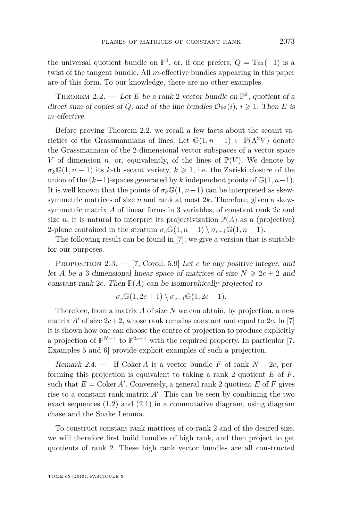<span id="page-5-0"></span>the universal quotient bundle on  $\mathbb{P}^2$ , or, if one prefers,  $Q = T_{\mathbb{P}^2}(-1)$  is a twist of the tangent bundle. All *m*-effective bundles appearing in this paper are of this form. To our knowledge, there are no other examples.

THEOREM 2.2. — Let E be a rank 2 vector bundle on  $\mathbb{P}^2$ , quotient of a direct sum of copies of *Q*, and of the line bundles  $\mathcal{O}_{\mathbb{P}^2}(i)$ ,  $i \geq 1$ . Then *E* is *m*-effective.

Before proving Theorem 2.2, we recall a few facts about the secant varieties of the Grassmannians of lines. Let  $\mathbb{G}(1, n-1) \subset \mathbb{P}(\Lambda^2 V)$  denote the Grassmannian of the 2-dimensional vector subspaces of a vector space *V* of dimension *n*, or, equivalently, of the lines of  $\mathbb{P}(V)$ . We denote by  $\sigma_k \mathbb{G}(1, n-1)$  its *k*-th secant variety,  $k \geq 1$ , i.e. the Zariski closure of the union of the  $(k-1)$ -spaces generated by k independent points of  $\mathbb{G}(1,n-1)$ . It is well known that the points of  $\sigma_k\mathbb{G}(1,n-1)$  can be interpreted as skewsymmetric matrices of size *n* and rank at most 2*k*. Therefore, given a skewsymmetric matrix *A* of linear forms in 3 variables, of constant rank 2*c* and size *n*, it is natural to interpret its projectivization  $\mathbb{P}(A)$  as a (projective) 2-plane contained in the stratum  $\sigma_c\mathbb{G}(1,n-1) \setminus \sigma_{c-1}\mathbb{G}(1,n-1)$ *.* 

The following result can be found in [\[7\]](#page-21-0); we give a version that is suitable for our purposes.

PROPOSITION 2.3. — [\[7,](#page-21-0) Coroll. 5.9] Let *c* be any positive integer, and let *A* be a 3-dimensional linear space of matrices of size  $N \geq 2c + 2$  and constant rank 2*c*. Then  $\mathbb{P}(A)$  can be isomorphically projected to

$$
\sigma_c \mathbb{G}(1, 2c+1) \setminus \sigma_{c-1} \mathbb{G}(1, 2c+1).
$$

Therefore, from a matrix *A* of size *N* we can obtain, by projection, a new matrix  $A'$  of size  $2c+2$ , whose rank remains constant and equal to 2*c*. In [\[7\]](#page-21-0) it is shown how one can choose the centre of projection to produce explicitly a projection of  $\mathbb{P}^{N-1}$  to  $\mathbb{P}^{2c+1}$  with the required property. In particular [\[7,](#page-21-0) Examples 5 and 6] provide explicit examples of such a projection.

Remark 2.4. — If Coker *A* is a vector bundle *F* of rank  $N - 2c$ , performing this projection is equivalent to taking a rank 2 quotient *E* of *F*, such that  $E = \text{Coker } A'$ . Conversely, a general rank 2 quotient  $E$  of  $F$  gives rise to a constant rank matrix  $A'$ . This can be seen by combining the two exact sequences [\(1.2\)](#page-2-0) and [\(2.1\)](#page-4-0) in a commutative diagram, using diagram chase and the Snake Lemma.

To construct constant rank matrices of co-rank 2 and of the desired size, we will therefore first build bundles of high rank, and then project to get quotients of rank 2. These high rank vector bundles are all constructed

TOME 65 (2015), FASCICULE 5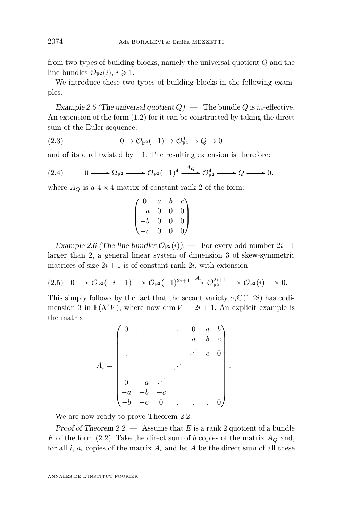from two types of building blocks, namely the universal quotient *Q* and the line bundles  $\mathcal{O}_{\mathbb{P}^2}(i), i \geq 1$ .

We introduce these two types of building blocks in the following examples.

Example 2.5 (The universal quotient  $Q$ ). — The bundle  $Q$  is *m*-effective. An extension of the form [\(1.2\)](#page-2-0) for it can be constructed by taking the direct sum of the Euler sequence:

(2.3) 
$$
0 \to \mathcal{O}_{\mathbb{P}^2}(-1) \to \mathcal{O}_{\mathbb{P}^2}^3 \to Q \to 0
$$

and of its dual twisted by  $-1$ . The resulting extension is therefore:

$$
(2.4) \qquad 0 \longrightarrow \Omega_{\mathbb{P}^2} \longrightarrow \mathcal{O}_{\mathbb{P}^2}(-1)^4 \stackrel{A_Q}{\longrightarrow} \mathcal{O}_{\mathbb{P}^2}^4 \longrightarrow Q \longrightarrow 0,
$$

where  $A_Q$  is a  $4 \times 4$  matrix of constant rank 2 of the form:

$$
\begin{pmatrix} 0 & a & b & c \\ -a & 0 & 0 & 0 \\ -b & 0 & 0 & 0 \\ -c & 0 & 0 & 0 \end{pmatrix}.
$$

Example 2.6 (The line bundles  $\mathcal{O}_{\mathbb{P}^2}(i)$ ). — For every odd number  $2i+1$ larger than 2, a general linear system of dimension 3 of skew-symmetric matrices of size  $2i + 1$  is of constant rank  $2i$ , with extension

$$
(2.5) \quad 0 \longrightarrow \mathcal{O}_{\mathbb{P}^2}(-i-1) \longrightarrow \mathcal{O}_{\mathbb{P}^2}(-1)^{2i+1} \stackrel{A_i}{\longrightarrow} \mathcal{O}_{\mathbb{P}^2}^{2i+1} \longrightarrow \mathcal{O}_{\mathbb{P}^2}(i) \longrightarrow 0.
$$

This simply follows by the fact that the secant variety  $\sigma_i \mathbb{G}(1, 2i)$  has codimension 3 in  $\mathbb{P}(\Lambda^2 V)$ , where now dim  $V = 2i + 1$ . An explicit example is the matrix

|  |                                                              |                | $\ddot{\phantom{0}}$ | $\overline{0}$   | a              | $b\setminus$                          |
|--|--------------------------------------------------------------|----------------|----------------------|------------------|----------------|---------------------------------------|
|  |                                                              |                |                      | $\boldsymbol{a}$ |                | $\begin{bmatrix} b & c \end{bmatrix}$ |
|  |                                                              |                |                      |                  | $\overline{c}$ |                                       |
|  |                                                              |                |                      |                  |                |                                       |
|  | $\begin{matrix} 0 & -a & \cdot \\ -a & -b & -c \end{matrix}$ |                |                      |                  |                |                                       |
|  |                                                              |                |                      |                  |                |                                       |
|  | $-c$                                                         | $\overline{0}$ |                      |                  |                |                                       |

*.*

We are now ready to prove Theorem [2.2.](#page-5-0)

Proof of Theorem [2.2.](#page-5-0) — Assume that *E* is a rank 2 quotient of a bundle *F* of the form [\(2.2\)](#page-4-0). Take the direct sum of *b* copies of the matrix  $A_Q$  and, for all  $i$ ,  $a_i$  copies of the matrix  $A_i$  and let  $A$  be the direct sum of all these

ANNALES DE L'INSTITUT FOURIER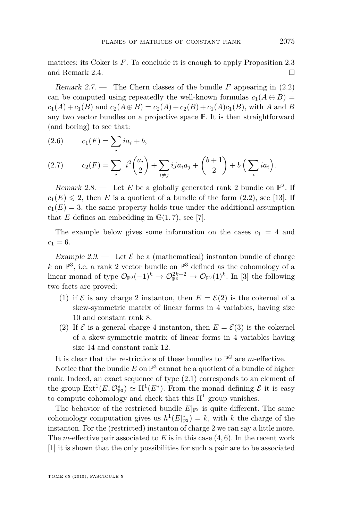<span id="page-7-0"></span>matrices: its Coker is *F*. To conclude it is enough to apply Proposition [2.3](#page-5-0) and Remark [2.4.](#page-5-0)

Remark 2.7. — The Chern classes of the bundle *F* appearing in [\(2.2\)](#page-4-0) can be computed using repeatedly the well-known formulas  $c_1(A \oplus B)$  $c_1(A) + c_1(B)$  and  $c_2(A \oplus B) = c_2(A) + c_2(B) + c_1(A)c_1(B)$ , with *A* and *B* any two vector bundles on a projective space P. It is then straightforward (and boring) to see that:

(2.6) 
$$
c_1(F) = \sum_i ia_i + b,
$$

(2.7) 
$$
c_2(F) = \sum_{i} i^2 {a_i \choose 2} + \sum_{i \neq j} i j a_i a_j + {b+1 \choose 2} + b \left( \sum_{i} i a_i \right).
$$

Remark 2.8.  $\longrightarrow$  Let *E* be a globally generated rank 2 bundle on  $\mathbb{P}^2$ . If  $c_1(E) \leq 2$ , then *E* is a quotient of a bundle of the form [\(2.2\)](#page-4-0), see [\[13\]](#page-21-0). If  $c_1(E) = 3$ , the same property holds true under the additional assumption that *E* defines an embedding in  $\mathbb{G}(1,7)$ , see [\[7\]](#page-21-0).

The example below gives some information on the cases  $c_1 = 4$  and  $c_1 = 6$ .

Example 2.9. — Let  $\mathcal E$  be a (mathematical) instanton bundle of charge k on  $\mathbb{P}^3$ , i.e. a rank 2 vector bundle on  $\mathbb{P}^3$  defined as the cohomology of a linear monad of type  $\mathcal{O}_{\mathbb{P}^3}(-1)^k \to \mathcal{O}_{\mathbb{P}^3}^{2k+2} \to \mathcal{O}_{\mathbb{P}^3}(1)^k$ . In [\[3\]](#page-20-0) the following two facts are proved:

- (1) if  $\mathcal E$  is any charge 2 instanton, then  $E = \mathcal E(2)$  is the cokernel of a skew-symmetric matrix of linear forms in 4 variables, having size 10 and constant rank 8.
- (2) If  $\mathcal E$  is a general charge 4 instanton, then  $E = \mathcal E(3)$  is the cokernel of a skew-symmetric matrix of linear forms in 4 variables having size 14 and constant rank 12.

It is clear that the restrictions of these bundles to  $\mathbb{P}^2$  are *m*-effective.

Notice that the bundle  $E$  on  $\mathbb{P}^3$  cannot be a quotient of a bundle of higher rank. Indeed, an exact sequence of type [\(2.1\)](#page-4-0) corresponds to an element of the group  $\text{Ext}^1(E, \mathcal{O}_{\mathbb{P}^3}^s) \simeq \text{H}^1(E^*)$ . From the monad defining  $\mathcal E$  it is easy to compute cohomology and check that this  $H^1$  group vanishes.

The behavior of the restricted bundle  $E|_{\mathbb{P}^2}$  is quite different. The same cohomology computation gives us  $h^1(E|_{\mathbb{P}^2}^*) = k$ , with *k* the charge of the instanton. For the (restricted) instanton of charge 2 we can say a little more. The *m*-effective pair associated to *E* is in this case (4*,* 6). In the recent work [\[1\]](#page-20-0) it is shown that the only possibilities for such a pair are to be associated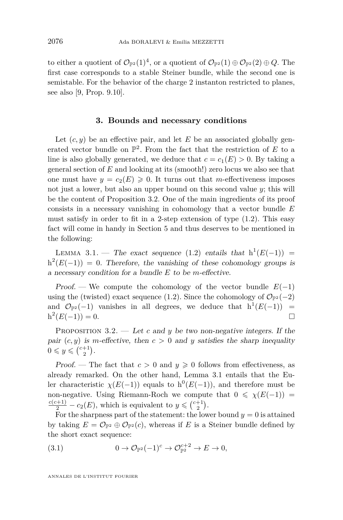<span id="page-8-0"></span>to either a quotient of  $\mathcal{O}_{\mathbb{P}^2}(1)^4$ , or a quotient of  $\mathcal{O}_{\mathbb{P}^2}(1) \oplus \mathcal{O}_{\mathbb{P}^2}(2) \oplus Q$ . The first case corresponds to a stable Steiner bundle, while the second one is semistable. For the behavior of the charge 2 instanton restricted to planes, see also [\[9,](#page-21-0) Prop. 9.10].

#### **3. Bounds and necessary conditions**

Let  $(c, y)$  be an effective pair, and let  $E$  be an associated globally generated vector bundle on  $\mathbb{P}^2$ . From the fact that the restriction of *E* to a line is also globally generated, we deduce that  $c = c_1(E) > 0$ . By taking a general section of *E* and looking at its (smooth!) zero locus we also see that one must have  $y = c_2(E) \geq 0$ . It turns out that *m*-effectiveness imposes not just a lower, but also an upper bound on this second value  $y$ ; this will be the content of Proposition 3.2. One of the main ingredients of its proof consists in a necessary vanishing in cohomology that a vector bundle *E* must satisfy in order to fit in a 2-step extension of type [\(1.2\)](#page-2-0). This easy fact will come in handy in Section [5](#page-13-0) and thus deserves to be mentioned in the following:

LEMMA 3.1. — The exact sequence [\(1.2\)](#page-2-0) entails that  $h^1(E(-1)) =$  $h^2(E(-1)) = 0$ . Therefore, the vanishing of these cohomology groups is a necessary condition for a bundle *E* to be *m*-effective.

Proof. — We compute the cohomology of the vector bundle  $E(-1)$ using the (twisted) exact sequence [\(1.2\)](#page-2-0). Since the cohomology of  $\mathcal{O}_{\mathbb{P}^2}(-2)$ and  $\mathcal{O}_{\mathbb{P}^2}(-1)$  vanishes in all degrees, we deduce that  $h^1(E(-1)) =$  $h^2(E(-1)) = 0.$ 

PROPOSITION 3.2. — Let c and *y* be two non-negative integers. If the pair  $(c, y)$  is *m*-effective, then  $c > 0$  and *y* satisfies the sharp inequality  $0 \leq y \leq {c+1 \choose 2}.$ 

Proof. — The fact that  $c > 0$  and  $y \ge 0$  follows from effectiveness, as already remarked. On the other hand, Lemma 3.1 entails that the Euler characteristic  $\chi(E(-1))$  equals to  $h^0(E(-1))$ , and therefore must be non-negative. Using Riemann-Roch we compute that  $0 \le \chi(E(-1))$  =  $\frac{c(c+1)}{2} - c_2(E)$ , which is equivalent to  $y \leqslant {\binom{c+1}{2}}$ .

For the sharpness part of the statement: the lower bound  $y = 0$  is attained by taking  $E = \mathcal{O}_{\mathbb{P}^2} \oplus \mathcal{O}_{\mathbb{P}^2}(c)$ , whereas if *E* is a Steiner bundle defined by the short exact sequence:

(3.1) 
$$
0 \to \mathcal{O}_{\mathbb{P}^2}(-1)^c \to \mathcal{O}_{\mathbb{P}^2}^{c+2} \to E \to 0,
$$

ANNALES DE L'INSTITUT FOURIER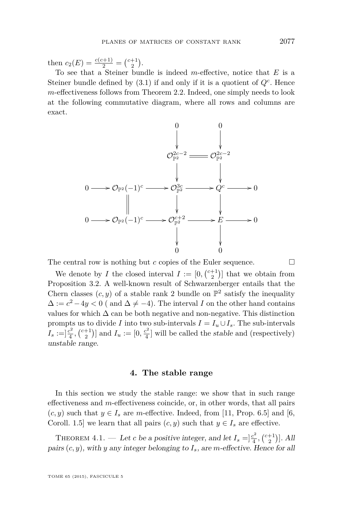<span id="page-9-0"></span>then  $c_2(E) = \frac{c(c+1)}{2} = \binom{c+1}{2}$ .

To see that a Steiner bundle is indeed *m*-effective, notice that *E* is a Steiner bundle defined by  $(3.1)$  if and only if it is a quotient of  $Q<sup>c</sup>$ . Hence *m*-effectiveness follows from Theorem [2.2.](#page-5-0) Indeed, one simply needs to look at the following commutative diagram, where all rows and columns are exact.



The central row is nothing but *c* copies of the Euler sequence.  $\Box$ 

We denote by *I* the closed interval  $I := [0, \binom{c+1}{2}]$  that we obtain from Proposition [3.2.](#page-8-0) A well-known result of Schwarzenberger entails that the Chern classes  $(c, y)$  of a stable rank 2 bundle on  $\mathbb{P}^2$  satisfy the inequality  $\Delta := c^2 - 4y < 0$  ( and  $\Delta \neq -4$ ). The interval *I* on the other hand contains values for which  $\Delta$  can be both negative and non-negative. This distinction prompts us to divide *I* into two sub-intervals  $I = I_u \cup I_s$ . The sub-intervals  $I_s := ]\frac{c^2}{4}$  $\left[\frac{c^2}{4}, \binom{c+1}{2}\right]$  and  $I_u := [0, \frac{c^2}{4}]$  $\frac{e^2}{4}$  will be called the *stable* and (respectively) unstable range.

#### **4. The stable range**

In this section we study the stable range: we show that in such range effectiveness and *m*-effectiveness coincide, or, in other words, that all pairs  $(c, y)$  such that  $y \in I_s$  are *m*-effective. Indeed, from [\[11,](#page-21-0) Prop. 6.5] and [\[6,](#page-21-0) Coroll. 1.5] we learn that all pairs  $(c, y)$  such that  $y \in I_s$  are effective.

THEOREM 4.1. — Let *c* be a positive integer, and let  $I_s = \frac{c^2}{4}$  $\frac{c^2}{4}$ ,  $\binom{c+1}{2}$ . All pairs (*c, y*), with *y* any integer belonging to *Is*, are *m*-effective. Hence for all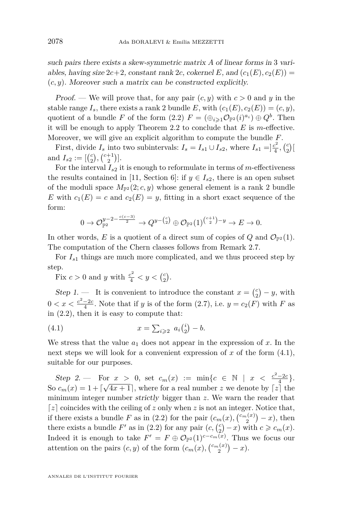<span id="page-10-0"></span>such pairs there exists a skew-symmetric matrix *A* of linear forms in 3 variables, having size  $2c+2$ , constant rank 2*c*, cokernel *E*, and  $(c_1(E), c_2(E))$  = (*c, y*). Moreover such a matrix can be constructed explicitly.

Proof. — We will prove that, for any pair  $(c, y)$  with  $c > 0$  and  $y$  in the stable range  $I_s$ , there exists a rank 2 bundle *E*, with  $(c_1(E), c_2(E)) = (c, y)$ , quotient of a bundle *F* of the form  $(2.2)$   $F = (\bigoplus_{i \geq 1} \mathcal{O}_{\mathbb{P}^2}(i)^{a_i}) \oplus Q^b$ . Then it will be enough to apply Theorem [2.2](#page-5-0) to conclude that *E* is *m*-effective. Moreover, we will give an explicit algorithm to compute the bundle *F*.

First, divide  $I_s$  into two subintervals:  $I_s = I_{s1} \cup I_{s2}$ , where  $I_{s1} = \frac{c^2}{4}$  $\frac{c^{2}}{4}, \binom{c}{2}$ and  $I_{s2} := [c \choose 2, c +1 \choose 2}]$ .

For the interval  $I_{s2}$  it is enough to reformulate in terms of *m*-effectiveness the results contained in [\[11,](#page-21-0) Section 6]: if  $y \in I_{s2}$ , there is an open subset of the moduli space  $M_{\mathbb{P}^2}(2; c, y)$  whose general element is a rank 2 bundle *E* with  $c_1(E) = c$  and  $c_2(E) = y$ , fitting in a short exact sequence of the form:

$$
0 \to \mathcal{O}_{\mathbb{P}^2}^{y-2-\frac{c(c-3)}{2}} \to Q^{y-\binom{c}{2}} \oplus \mathcal{O}_{\mathbb{P}^2}(1)^{\binom{c+1}{2}-y} \to E \to 0.
$$

In other words, E is a quotient of a direct sum of copies of  $Q$  and  $\mathcal{O}_{\mathbb{P}^2}(1)$ . The computation of the Chern classes follows from Remark [2.7.](#page-7-0)

For  $I_{s1}$  things are much more complicated, and we thus proceed step by step.

Fix  $c > 0$  and *y* with  $\frac{c^2}{4} < y < {c \choose 2}$ .

Step 1. — It is convenient to introduce the constant  $x = \begin{pmatrix} c \\ 2 \end{pmatrix} - y$ , with  $0 < x < \frac{c^2 - 2c}{4}$ . Note that if *y* is of the form  $(2.7)$ , i.e.  $y = c_2(F)$  with *F* as in [\(2.2\)](#page-4-0), then it is easy to compute that:

(4.1) 
$$
x = \sum_{i \geq 2} a_i {i \choose 2} - b.
$$

We stress that the value  $a_1$  does not appear in the expression of  $x$ . In the next steps we will look for a convenient expression of x of the form  $(4.1)$ , suitable for our purposes.

 $Step 2. \longrightarrow \text{For } x > 0, \text{ set } c_m(x) := \min\{c \in \mathbb{N} \mid x < \frac{c^2 - 2c}{4}. \}$ So  $c_m(x) = 1 + \lceil \sqrt{4x + 1} \rceil$ , where for a real number *z* we denote by  $\lceil z \rceil$  the minimum integer number strictly bigger than *z*. We warn the reader that  $\lceil z \rceil$  coincides with the ceiling of *z* only when *z* is not an integer. Notice that, if there exists a bundle *F* as in [\(2.2\)](#page-4-0) for the pair  $(c_m(x), \binom{c_m(x)}{2} - x)$ , then there exists a bundle  $F'$  as in [\(2.2\)](#page-4-0) for any pair  $(c, {c \choose 2} - x)$  with  $c \geq c_m(x)$ . Indeed it is enough to take  $F' = F \oplus \mathcal{O}_{\mathbb{P}^2}(1)^{c-c_m(x)}$ . Thus we focus our attention on the pairs  $(c, y)$  of the form  $(c_m(x), \binom{c_m(x)}{2} - x)$ .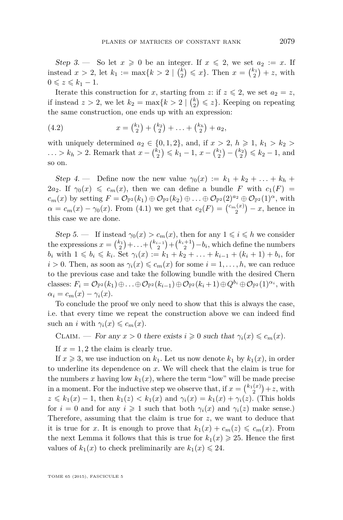<span id="page-11-0"></span>Step 3. — So let  $x \ge 0$  be an integer. If  $x \le 2$ , we set  $a_2 := x$ . If instead  $x > 2$ , let  $k_1 := \max\{k > 2 \mid {k \choose 2} \leq x\}$ . Then  $x = {k_1 \choose 2} + z$ , with  $0 \leqslant z \leqslant k_1 - 1.$ 

Iterate this construction for *x*, starting from *z*: if  $z \le 2$ , we set  $a_2 = z$ , if instead  $z > 2$ , we let  $k_2 = \max\{k > 2 \mid {k \choose 2} \leq z\}$ . Keeping on repeating the same construction, one ends up with an expression:

(4.2) 
$$
x = \binom{k_1}{2} + \binom{k_2}{2} + \ldots + \binom{k_h}{2} + a_2,
$$

with uniquely determined  $a_2 \in \{0, 1, 2\}$ , and, if  $x > 2$ ,  $h \ge 1$ ,  $k_1 > k_2 >$ *...* >  $k_h$  > 2. Remark that  $x - \binom{k_1}{2} \leq k_1 - 1$ ,  $x - \binom{k_1}{2} - \binom{k_2}{2} \leq k_2 - 1$ , and so on.

Step 4. — Define now the new value  $\gamma_0(x) := k_1 + k_2 + ... + k_h + ...$ 2*a*<sub>2</sub>. If  $\gamma_0(x) \leq c_m(x)$ , then we can define a bundle *F* with  $c_1(F)$  =  $c_m(x)$  by setting  $F = \mathcal{O}_{\mathbb{P}^2}(k_1) \oplus \mathcal{O}_{\mathbb{P}^2}(k_2) \oplus \ldots \oplus \mathcal{O}_{\mathbb{P}^2}(2)^{a_2} \oplus \mathcal{O}_{\mathbb{P}^2}(1)^\alpha$ , with  $\alpha = c_m(x) - \gamma_0(x)$ . From [\(4.1\)](#page-10-0) we get that  $c_2(F) = \binom{c_m(x)}{2} - x$ , hence in this case we are done.

Step 5. — If instead  $\gamma_0(x) > c_m(x)$ , then for any  $1 \leq i \leq h$  we consider the expressions  $x = \binom{k_1}{2} + \ldots + \binom{k_{i-1}}{2} + \binom{k_i+1}{2} - b_i$ , which define the numbers  $b_i$  with  $1 \leq b_i \leq k_i$ . Set  $\gamma_i(x) := k_1 + k_2 + \ldots + k_{i-1} + (k_i + 1) + b_i$ , for  $i > 0$ . Then, as soon as  $\gamma_i(x) \leq c_m(x)$  for some  $i = 1, \ldots, h$ , we can reduce to the previous case and take the following bundle with the desired Chern  $\text{classes: } F_i = \mathcal{O}_{\mathbb{P}^2}(k_1) \oplus \ldots \oplus \mathcal{O}_{\mathbb{P}^2}(k_{i-1}) \oplus \mathcal{O}_{\mathbb{P}^2}(k_i+1) \oplus Q^{b_i} \oplus \mathcal{O}_{\mathbb{P}^2}(1)^{\alpha_i}, \text{with}$  $\alpha_i = c_m(x) - \gamma_i(x)$ .

To conclude the proof we only need to show that this is always the case, i.e. that every time we repeat the construction above we can indeed find such an *i* with  $\gamma_i(x) \leq c_m(x)$ .

CLAIM. — For any  $x > 0$  there exists  $i \geq 0$  such that  $\gamma_i(x) \leq c_m(x)$ .

If  $x = 1, 2$  the claim is clearly true.

If  $x \ge 3$ , we use induction on  $k_1$ . Let us now denote  $k_1$  by  $k_1(x)$ , in order to underline its dependence on *x*. We will check that the claim is true for the numbers x having low  $k_1(x)$ , where the term "low" will be made precise in a moment. For the inductive step we observe that, if  $x = \binom{k_1(x)}{2} + z$ , with  $z \le k_1(x) - 1$ , then  $k_1(z) < k_1(x)$  and  $\gamma_i(x) = k_1(x) + \gamma_i(z)$ . (This holds for  $i = 0$  and for any  $i \ge 1$  such that both  $\gamma_i(x)$  and  $\gamma_i(z)$  make sense.) Therefore, assuming that the claim is true for  $z$ , we want to deduce that it is true for *x*. It is enough to prove that  $k_1(x) + c_m(z) \leq c_m(x)$ . From the next Lemma it follows that this is true for  $k_1(x) \geq 25$ . Hence the first values of  $k_1(x)$  to check preliminarily are  $k_1(x) \leq 24$ .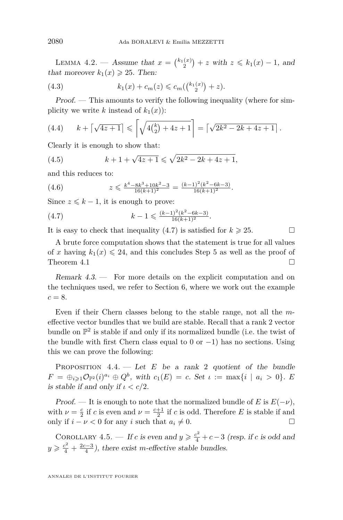<span id="page-12-0"></span>LEMMA 4.2. → Assume that  $x = \binom{k_1(x)}{2} + z$  with  $z \le k_1(x) - 1$ , and that moreover  $k_1(x) \geq 25$ . Then:

(4.3) 
$$
k_1(x) + c_m(z) \leq c_m({k_1(x) \choose 2} + z).
$$

Proof. — This amounts to verify the following inequality (where for simplicity we write *k* instead of  $k_1(x)$ :

(4.4) 
$$
k + \left[\sqrt{4z+1}\right] \le \left[\sqrt{4\binom{k}{2} + 4z + 1}\right] = \left[\sqrt{2k^2 - 2k + 4z + 1}\right].
$$

Clearly it is enough to show that:

(4.5) 
$$
k + 1 + \sqrt{4z + 1} \leq \sqrt{2k^2 - 2k + 4z + 1},
$$

and this reduces to:

$$
(4.6) \t\t z \leq \frac{k^4 - 8k^3 + 10k^2 - 3}{16(k+1)^2} = \frac{(k-1)^2(k^2 - 6k - 3)}{16(k+1)^2}.
$$

Since  $z \leq k - 1$ , it is enough to prove:

(4.7) 
$$
k-1 \leqslant \frac{(k-1)^2(k^2-6k-3)}{16(k+1)^2}.
$$

It is easy to check that inequality  $(4.7)$  is satisfied for  $k \geq 25$ .

A brute force computation shows that the statement is true for all values of *x* having  $k_1(x) \leq 24$ , and this concludes Step 5 as well as the proof of Theorem [4.1](#page-9-0)

Remark 4.3. — For more details on the explicit computation and on the techniques used, we refer to Section [6,](#page-18-0) where we work out the example  $c = 8$ .

Even if their Chern classes belong to the stable range, not all the *m*effective vector bundles that we build are stable. Recall that a rank 2 vector bundle on  $\mathbb{P}^2$  is stable if and only if its normalized bundle (i.e. the twist of the bundle with first Chern class equal to 0 or  $-1$ ) has no sections. Using this we can prove the following:

PROPOSITION 4.4. — Let *E* be a rank 2 quotient of the bundle  $F = \bigoplus_{i \geqslant 1} \mathcal{O}_{\mathbb{P}^2}(i)^{a_i} \oplus Q^b$ , with  $c_1(E) = c$ . Set  $\iota := \max\{i \mid a_i > 0\}$ . *E* is stable if and only if  $\iota < c/2$ .

Proof. — It is enough to note that the normalized bundle of *E* is  $E(-\nu)$ , with  $\nu = \frac{c}{2}$  if *c* is even and  $\nu = \frac{c+1}{2}$  if *c* is odd. Therefore *E* is stable if and only if  $i - \nu < 0$  for any *i* such that  $a_i \neq 0$ .

COROLLARY 4.5. — If *c* is even and  $y \geqslant \frac{c^2}{4} + c - 3$  (resp. if *c* is odd and  $y \geqslant \frac{c^2}{4} + \frac{2c-3}{4}$ , there exist *m*-effective stable bundles.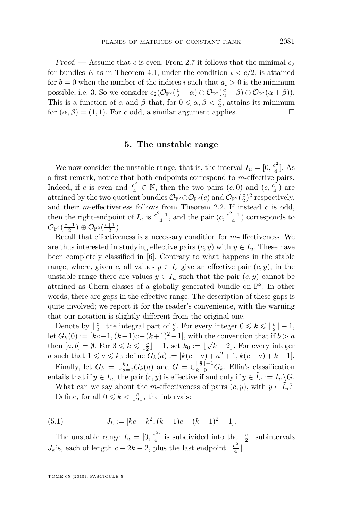<span id="page-13-0"></span>Proof. — Assume that *c* is even. From [2.7](#page-7-0) it follows that the minimal  $c_2$ for bundles *E* as in Theorem [4.1,](#page-9-0) under the condition  $\iota < c/2$ , is attained for  $b = 0$  when the number of the indices *i* such that  $a_i > 0$  is the minimum possible, i.e. 3. So we consider  $c_2(\mathcal{O}_{\mathbb{P}^2}(\frac{c}{2}-\alpha) \oplus \mathcal{O}_{\mathbb{P}^2}(\frac{c}{2}-\beta) \oplus \mathcal{O}_{\mathbb{P}^2}(\alpha+\beta)).$ This is a function of  $\alpha$  and  $\beta$  that, for  $0 \leq \alpha, \beta < \frac{c}{2}$ , attains its minimum for  $(\alpha, \beta) = (1, 1)$ . For *c* odd, a similar argument applies.

#### **5. The unstable range**

We now consider the unstable range, that is, the interval  $I_u = [0, \frac{c^2}{4}]$  $\frac{2}{4}$ . As a first remark, notice that both endpoints correspond to *m*-effective pairs. Indeed, if *c* is even and  $\frac{c^2}{4}$  $\frac{c^2}{4} \in \mathbb{N}$ , then the two pairs  $(c, 0)$  and  $(c, \frac{c^2}{4})$  $\frac{2}{4}$ ) are attained by the two quotient bundles  $\mathcal{O}_{\mathbb{P}^2} \oplus \mathcal{O}_{\mathbb{P}^2}(c)$  and  $\mathcal{O}_{\mathbb{P}^2}(\frac{c}{2})^2$  respectively, and their *m*-effectiveness follows from Theorem [2.2.](#page-5-0) If instead *c* is odd, then the right-endpoint of  $I_u$  is  $\frac{c^2-1}{4}$ , and the pair  $(c, \frac{c^2-1}{4})$  corresponds to  $\mathcal{O}_{\mathbb{P}^2}(\frac{c-1}{2}) \oplus \mathcal{O}_{\mathbb{P}^2}(\frac{c+1}{2}).$ 

Recall that effectiveness is a necessary condition for *m*-effectiveness. We are thus interested in studying effective pairs  $(c, y)$  with  $y \in I_u$ . These have been completely classified in [\[6\]](#page-21-0). Contrary to what happens in the stable range, where, given *c*, all values  $y \in I_s$  give an effective pair  $(c, y)$ , in the unstable range there are values  $y \in I_u$  such that the pair  $(c, y)$  cannot be attained as Chern classes of a globally generated bundle on  $\mathbb{P}^2$ . In other words, there are gaps in the effective range. The description of these gaps is quite involved; we report it for the reader's convenience, with the warning that our notation is slightly different from the original one.

Denote by  $\lfloor \frac{c}{2} \rfloor$  the integral part of  $\frac{c}{2}$ . For every integer  $0 \leq k \leq \lfloor \frac{c}{2} \rfloor - 1$ , let  $G_k(0) := [kc+1, (k+1)c-(k+1)^2-1]$ , with the convention that if  $b > a$ then  $[a, b] = \emptyset$ . For  $3 \leq k \leq \lfloor \frac{c}{2} \rfloor - 1$ , set  $k_0 := \lfloor \sqrt{k-2} \rfloor$ . For every integer *a* such that  $1 \le a \le k_0$  define  $G_k(a) := [k(c-a) + a^2 + 1, k(c-a) + k - 1].$ 

Finally, let  $G_k = \bigcup_{a=0}^{k_0} G_k(a)$  and  $G = \bigcup_{k=0}^{\lfloor \frac{c}{2} \rfloor - 1} G_k$ . Ellia's classification entails that if  $y \in I_u$ , the pair  $(c, y)$  is effective if and only if  $y \in \tilde{I}_u := I_u \backslash G$ .

What can we say about the *m*-effectiveness of pairs  $(c, y)$ , with  $y \in I_u$ ? Define, for all  $0 \leq k < \lfloor \frac{c}{2} \rfloor$ , the intervals:

(5.1) 
$$
J_k := [kc - k^2, (k+1)c - (k+1)^2 - 1].
$$

The unstable range  $I_u = [0, \frac{c^2}{4}]$  $\lfloor \frac{c^2}{4} \rfloor$  is subdivided into the  $\lfloor \frac{c}{2} \rfloor$  subintervals *J<sub>k</sub>*'s, each of length  $c - 2k - 2$ , plus the last endpoint  $\lfloor \frac{c^2}{4} \rfloor$  $\frac{2^2}{4}$ .

TOME 65 (2015), FASCICULE 5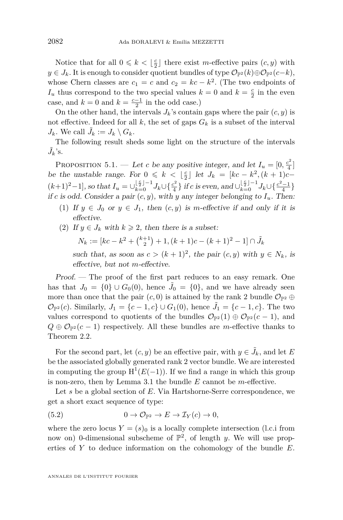<span id="page-14-0"></span>Notice that for all  $0 \leq k < \lfloor \frac{c}{2} \rfloor$  there exist *m*-effective pairs  $(c, y)$  with *y* ∈ *J*<sub>*k*</sub>. It is enough to consider quotient bundles of type  $\mathcal{O}_{\mathbb{P}^2}(k) \oplus \mathcal{O}_{\mathbb{P}^2}(c-k)$ , whose Chern classes are  $c_1 = c$  and  $c_2 = kc - k^2$ . (The two endpoints of  $I_u$  thus correspond to the two special values  $k = 0$  and  $k = \frac{c}{2}$  in the even case, and  $k = 0$  and  $k = \frac{c-1}{2}$  in the odd case.)

On the other hand, the intervals  $J_k$ 's contain gaps where the pair  $(c, y)$  is not effective. Indeed for all  $k$ , the set of gaps  $G_k$  is a subset of the interval  $J_k$ . We call  $\tilde{J}_k := J_k \setminus G_k$ .

The following result sheds some light on the structure of the intervals  $\tilde{J}_k$ 's.

PROPOSITION 5.1. — Let *c* be any positive integer, and let  $I_u = [0, \frac{c^2}{4}]$  $\frac{2}{4}$ ] be the unstable range. For  $0 \le k \le \lfloor \frac{c}{2} \rfloor$  let  $J_k = [kc - k^2, (k+1)c (k+1)^2-1$ , so that  $I_u = \bigcup_{k=0}^{\lfloor \frac{c}{2} \rfloor-1} J_k \cup \left\{ \frac{c^2}{4} \right\}$  $\frac{c^2}{4}$ } if *c* is even, and ∪ $\frac{\lfloor \frac{c}{2} \rfloor - 1}{k=0} J_k \cup \{\frac{c^2-1}{4}\}$ if *c* is odd. Consider a pair  $(c, y)$ , with *y* any integer belonging to  $I_u$ . Then:

- (1) If  $y \in J_0$  or  $y \in J_1$ , then  $(c, y)$  is *m*-effective if and only if it is effective.
- (2) If  $y \in J_k$  with  $k \geq 2$ , then there is a subset:

$$
N_k := [kc - k^2 + \binom{k+1}{2} + 1, (k+1)c - (k+1)^2 - 1] \cap \tilde{J}_k
$$

such that, as soon as  $c > (k+1)^2$ , the pair  $(c, y)$  with  $y \in N_k$ , is effective, but not *m*-effective.

Proof. — The proof of the first part reduces to an easy remark. One has that  $J_0 = \{0\} \cup G_0(0)$ , hence  $\tilde{J}_0 = \{0\}$ , and we have already seen more than once that the pair  $(c, 0)$  is attained by the rank 2 bundle  $\mathcal{O}_{\mathbb{P}^2} \oplus$  $\mathcal{O}_{\mathbb{P}^2}(c)$ . Similarly,  $J_1 = \{c - 1, c\} \cup G_1(0)$ , hence  $\tilde{J}_1 = \{c - 1, c\}$ . The two values correspond to quotients of the bundles  $\mathcal{O}_{\mathbb{P}^2}(1) \oplus \mathcal{O}_{\mathbb{P}^2}(c-1)$ , and  $Q \oplus \mathcal{O}_{\mathbb{P}^2}(c-1)$  respectively. All these bundles are *m*-effective thanks to Theorem [2.2.](#page-5-0)

For the second part, let  $(c, y)$  be an effective pair, with  $y \in \tilde{J}_k$ , and let *E* be the associated globally generated rank 2 vector bundle. We are interested in computing the group  $H^1(E(-1))$ . If we find a range in which this group is non-zero, then by Lemma [3.1](#page-8-0) the bundle *E* cannot be *m*-effective.

Let *s* be a global section of *E*. Via Hartshorne-Serre correspondence, we get a short exact sequence of type:

(5.2) 
$$
0 \to \mathcal{O}_{\mathbb{P}^2} \to E \to \mathcal{I}_Y(c) \to 0,
$$

where the zero locus  $Y = (s)_0$  is a locally complete intersection (l.c.i from now on) 0-dimensional subscheme of  $\mathbb{P}^2$ , of length *y*. We will use properties of *Y* to deduce information on the cohomology of the bundle *E*.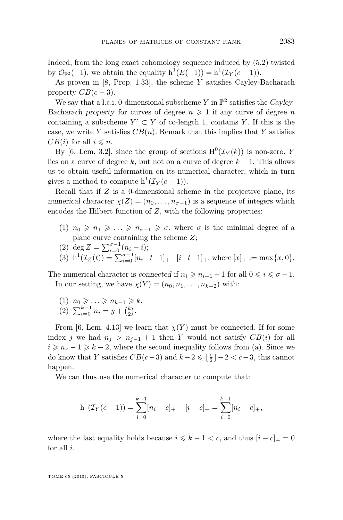Indeed, from the long exact cohomology sequence induced by [\(5.2\)](#page-14-0) twisted by  $\mathcal{O}_{\mathbb{P}^2}(-1)$ , we obtain the equality  $h^1(E(-1)) = h^1(\mathcal{I}_Y(c-1)).$ 

As proven in [\[8,](#page-21-0) Prop. 1.33], the scheme *Y* satisfies Cayley-Bacharach property  $CB(c-3)$ .

We say that a l.c.i. 0-dimensional subscheme  $Y$  in  $\mathbb{P}^2$  satisfies the Cayley-Bacharach property for curves of degree  $n \geq 1$  if any curve of degree *n* containing a subscheme  $Y' \subset Y$  of co-length 1, contains *Y*. If this is the case, we write *Y* satisfies  $CB(n)$ . Remark that this implies that *Y* satisfies *CB*(*i*) for all  $i \leq n$ .

By [\[6,](#page-21-0) Lem. 3.2], since the group of sections  $H^0(\mathcal{I}_Y(k))$  is non-zero, *Y* lies on a curve of degree  $k$ , but not on a curve of degree  $k-1$ . This allows us to obtain useful information on its numerical character, which in turn gives a method to compute  $h^1(\mathcal{I}_Y(c-1)).$ 

Recall that if *Z* is a 0-dimensional scheme in the projective plane, its numerical character  $\chi(Z) = (n_0, \ldots, n_{\sigma-1})$  is a sequence of integers which encodes the Hilbert function of *Z*, with the following properties:

- (1)  $n_0 \geq n_1 \geq \ldots \geq n_{\sigma-1} \geq \sigma$ , where  $\sigma$  is the minimal degree of a plane curve containing the scheme *Z*;
- (2) deg  $Z = \sum_{i=0}^{\sigma-1} (n_i i);$

(3) 
$$
h^1(\mathcal{I}_Z(t)) = \sum_{i=0}^{\sigma-1} [n_i - t - 1]_+ - [i - t - 1]_+, \text{ where } [x]_+ := \max\{x, 0\}.
$$

The numerical character is connected if  $n_i \geq n_{i+1} + 1$  for all  $0 \leq i \leq \sigma - 1$ . In our setting, we have  $\chi(Y) = (n_0, n_1, \ldots, n_{k-2})$  with:

(1)  $n_0 \geq \ldots \geq n_{k-1} \geq k$ , (2)  $\sum_{i=0}^{k-1} n_i = y + {k \choose 2}.$ 

From [\[6,](#page-21-0) Lem. 4.13] we learn that  $\chi(Y)$  must be connected. If for some index *j* we had  $n_j > n_{j-1} + 1$  then *Y* would not satisfy  $CB(i)$  for all  $i \geq n_r - 1 \geq k - 2$ , where the second inequality follows from (a). Since we do know that *Y* satisfies  $CB(c-3)$  and  $k-2 \leq \lfloor \frac{c}{2} \rfloor - 2 < c-3$ , this cannot happen.

We can thus use the numerical character to compute that:

$$
h^{1}(\mathcal{I}_{Y}(c-1)) = \sum_{i=0}^{k-1} [n_{i} - c]_{+} - [i - c]_{+} = \sum_{i=0}^{k-1} [n_{i} - c]_{+},
$$

where the last equality holds because  $i \leq k - 1 < c$ , and thus  $[i - c]_+ = 0$ for all *i*.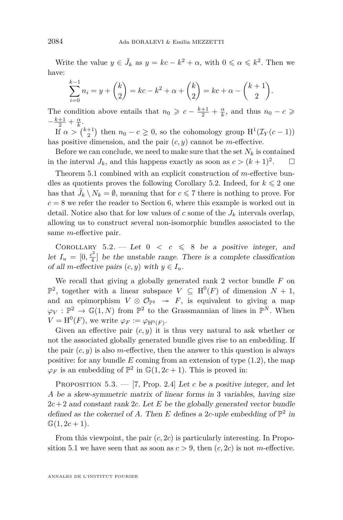Write the value  $y \in \tilde{J}_k$  as  $y = kc - k^2 + \alpha$ , with  $0 \le \alpha \le k^2$ . Then we have:

$$
\sum_{i=0}^{k-1} n_i = y + \binom{k}{2} = kc - k^2 + \alpha + \binom{k}{2} = kc + \alpha - \binom{k+1}{2}.
$$

The condition above entails that  $n_0 \geqslant c - \frac{k+1}{2} + \frac{\alpha}{k}$ , and thus  $n_0 - c \geqslant$  $-\frac{k+1}{2}+\frac{\alpha}{k}$ .

If  $\alpha > \binom{k+1}{2}$  then  $n_0 - c \geq 0$ , so the cohomology group  $H^1(\mathcal{I}_Y(c-1))$ has positive dimension, and the pair  $(c, y)$  cannot be *m*-effective.

Before we can conclude, we need to make sure that the set  $N_k$  is contained in the interval  $J_k$ , and this happens exactly as soon as  $c > (k+1)^2$ .  $\Box$ 

Theorem [5.1](#page-14-0) combined with an explicit construction of *m*-effective bundles as quotients proves the following Corollary 5.2. Indeed, for  $k \leq 2$  one has that  $\tilde{J}_k \setminus N_k = \emptyset$ , meaning that for  $c \le 7$  there is nothing to prove. For  $c = 8$  we refer the reader to Section [6,](#page-18-0) where this example is worked out in detail. Notice also that for low values of  $c$  some of the  $J_k$  intervals overlap, allowing us to construct several non-isomorphic bundles associated to the same *m*-effective pair.

COROLLARY  $5.2.$  — Let  $0 < c \le 8$  be a positive integer, and let  $I_u = [0, \frac{c^2}{4}]$  $\frac{c^2}{4}$  be the unstable range. There is a complete classification of all *m*-effective pairs  $(c, y)$  with  $y \in I_u$ .

We recall that giving a globally generated rank 2 vector bundle *F* on  $\mathbb{P}^2$ , together with a linear subspace  $V \subseteq H^0(F)$  of dimension  $N + 1$ , and an epimorphism  $V \otimes \mathcal{O}_{\mathbb{P}^2} \rightarrow F$ , is equivalent to giving a map  $\varphi_V : \mathbb{P}^2 \to \mathbb{G}(1,N)$  from  $\mathbb{P}^2$  to the Grassmannian of lines in  $\mathbb{P}^N$ . When  $V = \mathrm{H}^0(F)$ , we write  $\varphi_F := \varphi_{\mathrm{H}^0(F)}$ .

Given an effective pair  $(c, y)$  it is thus very natural to ask whether or not the associated globally generated bundle gives rise to an embedding. If the pair  $(c, y)$  is also *m*-effective, then the answer to this question is always positive: for any bundle  $E$  coming from an extension of type  $(1.2)$ , the map  $\varphi_F$  is an embedding of  $\mathbb{P}^2$  in  $\mathbb{G}(1, 2c + 1)$ . This is proved in:

PROPOSITION  $5.3. - [7, Prop. 2.4]$  $5.3. - [7, Prop. 2.4]$  $5.3. - [7, Prop. 2.4]$  Let *c* be a positive integer, and let *A* be a skew-symmetric matrix of linear forms in 3 variables, having size  $2c + 2$  and constant rank 2*c*. Let *E* be the globally generated vector bundle defined as the cokernel of A. Then  $E$  defines a 2*c*-uple embedding of  $\mathbb{P}^2$  in  $\mathbb{G}(1, 2c + 1).$ 

From this viewpoint, the pair (*c,* 2*c*) is particularly interesting. In Propo-sition [5.1](#page-14-0) we have seen that as soon as  $c > 9$ , then  $(c, 2c)$  is not *m*-effective.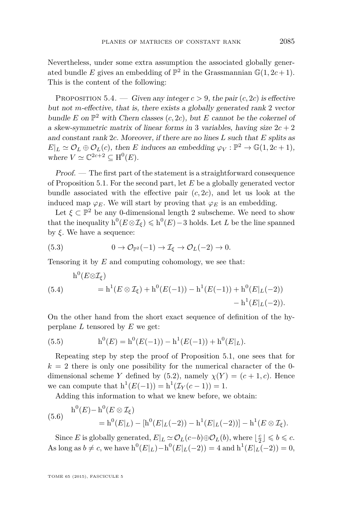<span id="page-17-0"></span>Nevertheless, under some extra assumption the associated globally generated bundle *E* gives an embedding of  $\mathbb{P}^2$  in the Grassmannian  $\mathbb{G}(1, 2c + 1)$ . This is the content of the following:

PROPOSITION 5.4. — Given any integer  $c > 9$ , the pair  $(c, 2c)$  is effective but not *m*-effective, that is, there exists a globally generated rank 2 vector bundle *E* on  $\mathbb{P}^2$  with Chern classes  $(c, 2c)$ , but *E* cannot be the cokernel of a skew-symmetric matrix of linear forms in 3 variables, having size  $2c + 2$ and constant rank 2*c*. Moreover, if there are no lines *L* such that *E* splits as  $E|_L \simeq \mathcal{O}_L \oplus \mathcal{O}_L(c)$ , then *E* induces an embedding  $\varphi_V : \mathbb{P}^2 \to \mathbb{G}(1, 2c + 1)$ , where  $V \simeq \mathbb{C}^{2c+2} \subseteq \mathrm{H}^0(E)$ .

Proof. — The first part of the statement is a straightforward consequence of Proposition [5.1.](#page-14-0) For the second part, let *E* be a globally generated vector bundle associated with the effective pair  $(c, 2c)$ , and let us look at the induced map  $\varphi_E$ . We will start by proving that  $\varphi_E$  is an embedding.

Let  $\xi \subset \mathbb{P}^2$  be any 0-dimensional length 2 subscheme. We need to show that the inequality  $h^0(E \otimes \mathcal{I}_{\xi}) \leqslant h^0(E) - 3$  holds. Let *L* be the line spanned by *ξ*. We have a sequence:

(5.3) 
$$
0 \to \mathcal{O}_{\mathbb{P}^2}(-1) \to \mathcal{I}_{\xi} \to \mathcal{O}_L(-2) \to 0.
$$

Tensoring it by *E* and computing cohomology, we see that:

$$
h^{0}(E \otimes \mathcal{I}_{\xi}) = h^{1}(E \otimes \mathcal{I}_{\xi}) + h^{0}(E(-1)) - h^{1}(E(-1)) + h^{0}(E|_{L}(-2)) - h^{1}(E|_{L}(-2)).
$$

On the other hand from the short exact sequence of definition of the hyperplane *L* tensored by *E* we get:

(5.5) 
$$
h^{0}(E) = h^{0}(E(-1)) - h^{1}(E(-1)) + h^{0}(E|_{L}).
$$

Repeating step by step the proof of Proposition [5.1,](#page-14-0) one sees that for  $k = 2$  there is only one possibility for the numerical character of the 0dimensional scheme *Y* defined by [\(5.2\)](#page-14-0), namely  $\chi(Y) = (c+1, c)$ . Hence we can compute that  $h^1(E(-1)) = h^1(\mathcal{I}_Y(c-1)) = 1$ .

Adding this information to what we knew before, we obtain:

(5.6) 
$$
h^0(E) - h^0(E \otimes \mathcal{I}_{\xi})
$$
  
=  $h^0(E|_L) - [h^0(E|_L(-2)) - h^1(E|_L(-2))] - h^1(E \otimes \mathcal{I}_{\xi}).$ 

Since *E* is globally generated,  $E|_L \simeq \mathcal{O}_L(c-b) \oplus \mathcal{O}_L(b)$ , where  $\lfloor \frac{c}{2} \rfloor \leq b \leq c$ . As long as  $b \neq c$ , we have  $h^0(E|_L) - h^0(E|_L(-2)) = 4$  and  $h^1(E|_L(-2)) = 0$ ,

TOME 65 (2015), FASCICULE 5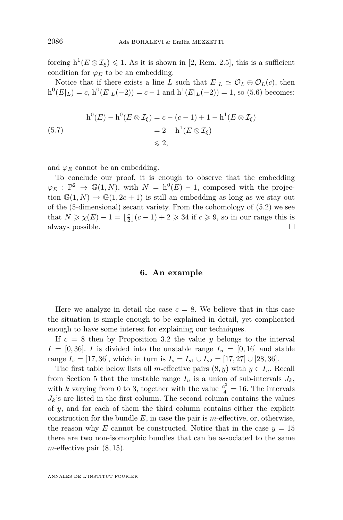<span id="page-18-0"></span>forcing  $h^1(E \otimes \mathcal{I}_{\xi}) \leq 1$ . As it is shown in [\[2,](#page-20-0) Rem. 2.5], this is a sufficient condition for  $\varphi_E$  to be an embedding.

Notice that if there exists a line *L* such that  $E|_L \simeq \mathcal{O}_L \oplus \mathcal{O}_L(c)$ , then  $h^0(E|_L) = c$ ,  $h^0(E|_L(-2)) = c - 1$  and  $h^1(E|_L(-2)) = 1$ , so [\(5.6\)](#page-17-0) becomes:

$$
h^{0}(E) - h^{0}(E \otimes \mathcal{I}_{\xi}) = c - (c - 1) + 1 - h^{1}(E \otimes \mathcal{I}_{\xi})
$$
  
= 2 - h^{1}(E \otimes \mathcal{I}\_{\xi})  
\$\leqslant 2\$,

and  $\varphi_E$  cannot be an embedding.

To conclude our proof, it is enough to observe that the embedding  $\varphi_E : \mathbb{P}^2 \to \mathbb{G}(1,N)$ , with  $N = h^0(E) - 1$ , composed with the projection  $\mathbb{G}(1,N) \to \mathbb{G}(1,2c+1)$  is still an embedding as long as we stay out of the (5-dimensional) secant variety. From the cohomology of [\(5.2\)](#page-14-0) we see that  $N \ge \chi(E) - 1 = \lfloor \frac{c}{2} \rfloor (c - 1) + 2 \ge 34$  if  $c \ge 9$ , so in our range this is always possible.  $\Box$ 

#### **6. An example**

Here we analyze in detail the case  $c = 8$ . We believe that in this case the situation is simple enough to be explained in detail, yet complicated enough to have some interest for explaining our techniques.

If  $c = 8$  then by Proposition [3.2](#page-8-0) the value *y* belongs to the interval  $I = [0, 36]$ . *I* is divided into the unstable range  $I_u = [0, 16]$  and stable range *I<sub>s</sub>* = [17, 36], which in turn is *I<sub>s</sub>* = *I<sub>s1</sub>* ∪ *I<sub>s2</sub>* = [17, 27] ∪ [28, 36].

The first table below lists all *m*-effective pairs  $(8, y)$  with  $y \in I_u$ . Recall from Section [5](#page-13-0) that the unstable range  $I_u$  is a union of sub-intervals  $J_k$ , with *k* varying from 0 to 3, together with the value  $\frac{c^2}{4} = 16$ . The intervals  $J_k$ 's are listed in the first column. The second column contains the values of *y*, and for each of them the third column contains either the explicit construction for the bundle *E*, in case the pair is *m*-effective, or, otherwise, the reason why *E* cannot be constructed. Notice that in the case  $y = 15$ there are two non-isomorphic bundles that can be associated to the same *m*-effective pair (8*,* 15).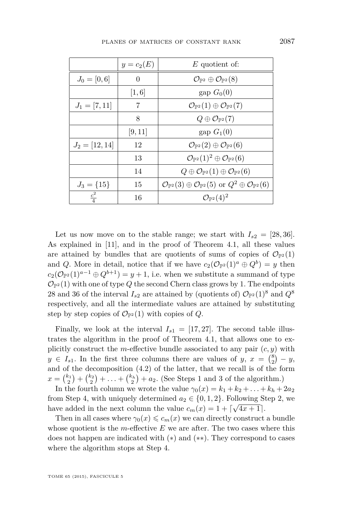|                 | $y = c_2(E)$ | $E$ quotient of:                                                                                                   |
|-----------------|--------------|--------------------------------------------------------------------------------------------------------------------|
| $J_0=[0,6]$     | 0            | $\mathcal{O}_{\mathbb{P}^2}\oplus\mathcal{O}_{\mathbb{P}^2}(8)$                                                    |
|                 | [1,6]        | gap $G_0(0)$                                                                                                       |
| $J_1=[7,11]$    | 7            | $\mathcal{O}_{\mathbb{P}^2}(1) \oplus \mathcal{O}_{\mathbb{P}^2}(7)$                                               |
|                 | 8            | $Q \oplus \mathcal{O}_{\mathbb{P}^2}(7)$                                                                           |
|                 | [9, 11]      | gap $G_1(0)$                                                                                                       |
| $J_2=[12,14]$   | 12           | $\mathcal{O}_{\mathbb{P}^2}(2) \oplus \mathcal{O}_{\mathbb{P}^2}(6)$                                               |
|                 | 13           | $\mathcal{O}_{\mathbb{P}^2}(1)^2\oplus \mathcal{O}_{\mathbb{P}^2}(6)$                                              |
|                 | 14           | $Q \oplus \mathcal{O}_{\mathbb{P}^2}(1) \oplus \mathcal{O}_{\mathbb{P}^2}(6)$                                      |
| $J_3 = \{15\}$  | 15           | $\mathcal{O}_{\mathbb{P}^2}(3) \oplus \mathcal{O}_{\mathbb{P}^2}(5)$ or $Q^2 \oplus \mathcal{O}_{\mathbb{P}^2}(6)$ |
| $\frac{c^2}{4}$ | 16           | $\mathcal{O}_{\mathbb{P}^2}(4)^2$                                                                                  |

Let us now move on to the stable range; we start with  $I_{s2} = [28, 36]$ . As explained in [\[11\]](#page-21-0), and in the proof of Theorem [4.1,](#page-9-0) all these values are attained by bundles that are quotients of sums of copies of  $\mathcal{O}_{\mathbb{P}^2}(1)$ and *Q*. More in detail, notice that if we have  $c_2(\mathcal{O}_{\mathbb{P}^2}(1)^a \oplus Q^b) = y$  then  $c_2(\mathcal{O}_{\mathbb{P}^2}(1)^{a-1} \oplus Q^{b+1}) = y+1$ , i.e. when we substitute a summand of type  $\mathcal{O}_{\mathbb{P}^2}(1)$  with one of type *Q* the second Chern class grows by 1. The endpoints 28 and 36 of the interval  $I_{s2}$  are attained by (quotients of)  $\mathcal{O}_{\mathbb{P}^2}(1)^8$  and  $Q^8$ respectively, and all the intermediate values are attained by substituting step by step copies of  $\mathcal{O}_{\mathbb{P}^2}(1)$  with copies of *Q*.

Finally, we look at the interval  $I_{s1} = [17, 27]$ . The second table illustrates the algorithm in the proof of Theorem [4.1,](#page-9-0) that allows one to explicitly construct the *m*-effective bundle associated to any pair (*c, y*) with  $y \in I_{s1}$ . In the first three columns there are values of  $y, x = \binom{8}{2} - y$ , and of the decomposition [\(4.2\)](#page-11-0) of the latter, that we recall is of the form  $x = \binom{k_1}{2} + \binom{k_2}{2} + \ldots + \binom{k_h}{2} + a_2$ . (See Steps 1 and 3 of the algorithm.)

In the fourth column we wrote the value  $\gamma_0(x) = k_1 + k_2 + \ldots + k_h + 2a_2$ from Step 4, with uniquely determined  $a_2 \in \{0, 1, 2\}$ . Following Step 2, we have added in the next column the value  $c_m(x) = 1 + \lceil \sqrt{4x + 1} \rceil$ .

Then in all cases where  $\gamma_0(x) \leq c_m(x)$  we can directly construct a bundle whose quotient is the *m*-effective *E* we are after. The two cases where this does not happen are indicated with (∗) and (∗∗). They correspond to cases where the algorithm stops at Step 4.

TOME 65 (2015), FASCICULE 5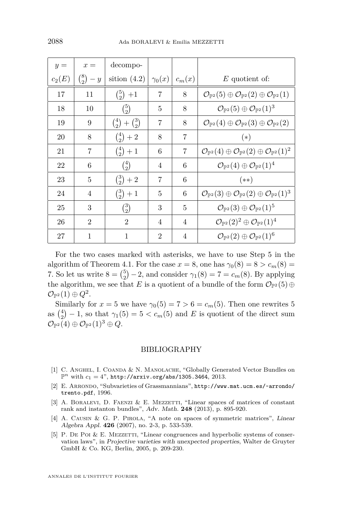<span id="page-20-0"></span>

| $y =$    | $x =$               | decompo-                      |                |                |                                                                                                             |
|----------|---------------------|-------------------------------|----------------|----------------|-------------------------------------------------------------------------------------------------------------|
| $c_2(E)$ | ${8 \choose 2} - y$ | sition $(4.2)$                | $\gamma_0(x)$  | $c_m(x)$       | $E$ quotient of:                                                                                            |
| 17       | 11                  | $\binom{5}{2}$ +1             | 7              | 8              | $\mathcal{O}_{\mathbb{P}^2}(5) \oplus \mathcal{O}_{\mathbb{P}^2}(2) \oplus \mathcal{O}_{\mathbb{P}^2}(1)$   |
| 18       | 10                  | ${5 \choose 2}$               | 5              | 8              | $\mathcal{O}_{\mathbb{P}^2}(5) \oplus \mathcal{O}_{\mathbb{P}^2}(1)^3$                                      |
| 19       | 9                   | $\binom{4}{2} + \binom{3}{2}$ | 7              | 8              | $\mathcal{O}_{\mathbb{P}^2}(4) \oplus \mathcal{O}_{\mathbb{P}^2}(3) \oplus \mathcal{O}_{\mathbb{P}^2}(2)$   |
| 20       | 8                   | $\binom{4}{2}+2$              | 8              | 7              | $(*)$                                                                                                       |
| 21       | 7                   | $\binom{4}{2} + 1$            | 6              | 7              | $\mathcal{O}_{\mathbb{P}^2}(4) \oplus \mathcal{O}_{\mathbb{P}^2}(2) \oplus \mathcal{O}_{\mathbb{P}^2}(1)^2$ |
| 22       | 6                   | $\binom{4}{2}$                | 4              | 6              | $\mathcal{O}_{\mathbb{P}^2}(4) \oplus \mathcal{O}_{\mathbb{P}^2}(1)^4$                                      |
| 23       | 5                   | $\binom{3}{2}+2$              | $\overline{7}$ | 6              | $(**)$                                                                                                      |
| 24       | 4                   | $\binom{3}{2}+1$              | 5              | 6              | $\mathcal{O}_{\mathbb{P}^2}(3) \oplus \mathcal{O}_{\mathbb{P}^2}(2) \oplus \mathcal{O}_{\mathbb{P}^2}(1)^3$ |
| 25       | 3                   | ${3 \choose 2}$               | 3              | 5              | $\mathcal{O}_{\mathbb{P}^2}(3) \oplus \mathcal{O}_{\mathbb{P}^2}(1)^5$                                      |
| 26       | $\mathfrak{D}$      | $\overline{2}$                | $\overline{4}$ | $\overline{4}$ | $\mathcal{O}_{\mathbb{P}^2}(2)^2\oplus \mathcal{O}_{\mathbb{P}^2}(1)^4$                                     |
| 27       | 1                   | 1                             | $\overline{2}$ | 4              | $\mathcal{O}_{\mathbb{P}^2}(2) \oplus \mathcal{O}_{\mathbb{P}^2}(1)^6$                                      |

For the two cases marked with asterisks, we have to use Step 5 in the algorithm of Theorem [4.1.](#page-9-0) For the case  $x = 8$ , one has  $\gamma_0(8) = 8 > c_m(8) =$ 7. So let us write  $8 = \binom{5}{2} - 2$ , and consider  $\gamma_1(8) = 7 = c_m(8)$ . By applying the algorithm, we see that *E* is a quotient of a bundle of the form  $\mathcal{O}_{\mathbb{P}^2}(5) \oplus$  $\mathcal{O}_{\mathbb{P}^2}(1) \oplus Q^2.$ 

Similarly for  $x = 5$  we have  $\gamma_0(5) = 7 > 6 = c_m(5)$ . Then one rewrites 5 as  $\binom{4}{2} - 1$ , so that  $\gamma_1(5) = 5 < c_m(5)$  and *E* is quotient of the direct sum  $\mathcal{O}_{\mathbb{P}^2}(4) \oplus \mathcal{O}_{\mathbb{P}^2}(1)^3 \oplus Q.$ 

#### BIBLIOGRAPHY

- [1] C. ANGHEL, I. COANDA & N. MANOLACHE, "Globally Generated Vector Bundles on  $\mathbb{P}^n$  with  $c_1 = 4$ ", <http://arxiv.org/abs/1305.3464>, 2013.
- [2] E. Arrondo, "Subvarieties of Grassmannians", [http://www.mat.ucm.es/~arrondo/](http://www.mat.ucm.es/~arrondo/trento.pdf) [trento.pdf](http://www.mat.ucm.es/~arrondo/trento.pdf), 1996.
- [3] A. BORALEVI, D. FAENZI & E. MEZZETTI, "Linear spaces of matrices of constant rank and instanton bundles", Adv. Math. **248** (2013), p. 895-920.
- [4] A. CAUSIN & G. P. PIROLA, "A note on spaces of symmetric matrices", Linear Algebra Appl. **426** (2007), no. 2-3, p. 533-539.
- [5] P. DE POI & E. MEZZETTI, "Linear congruences and hyperbolic systems of conservation laws", in Projective varieties with unexpected properties, Walter de Gruyter GmbH & Co. KG, Berlin, 2005, p. 209-230.